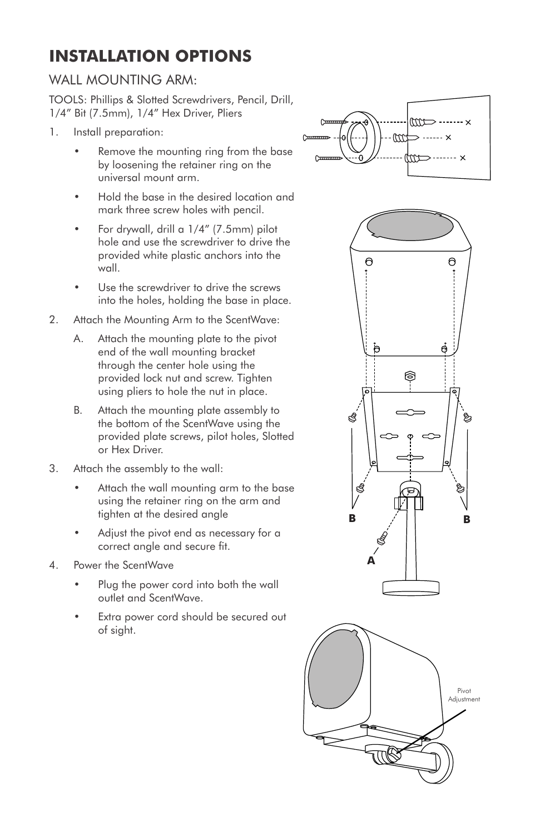## **INSTALLATION OPTIONS**

## WALL MOUNTING ARM:

TOOLS: Phillips & Slotted Screwdrivers, Pencil, Drill, 1/4" Bit (7.5mm), 1/4" Hex Driver, Pliers

- 1. Install preparation:
	- Remove the mounting ring from the base by loosening the retainer ring on the universal mount arm.
	- Hold the base in the desired location and mark three screw holes with pencil.
	- For drywall, drill a 1/4" (7.5mm) pilot hole and use the screwdriver to drive the provided white plastic anchors into the wall.
	- Use the screwdriver to drive the screws into the holes, holding the base in place.
- 2. Attach the Mounting Arm to the ScentWave:
	- A. Attach the mounting plate to the pivot end of the wall mounting bracket through the center hole using the provided lock nut and screw. Tighten using pliers to hole the nut in place.
	- B. Attach the mounting plate assembly to the bottom of the ScentWave using the provided plate screws, pilot holes, Slotted or Hex Driver.
- 3. Attach the assembly to the wall:
	- Attach the wall mounting arm to the base using the retainer ring on the arm and tighten at the desired angle
	- Adjust the pivot end as necessary for a correct angle and secure fit.
- 4. Power the ScentWave
	- Plug the power cord into both the wall outlet and ScentWave.
	- Extra power cord should be secured out of sight.